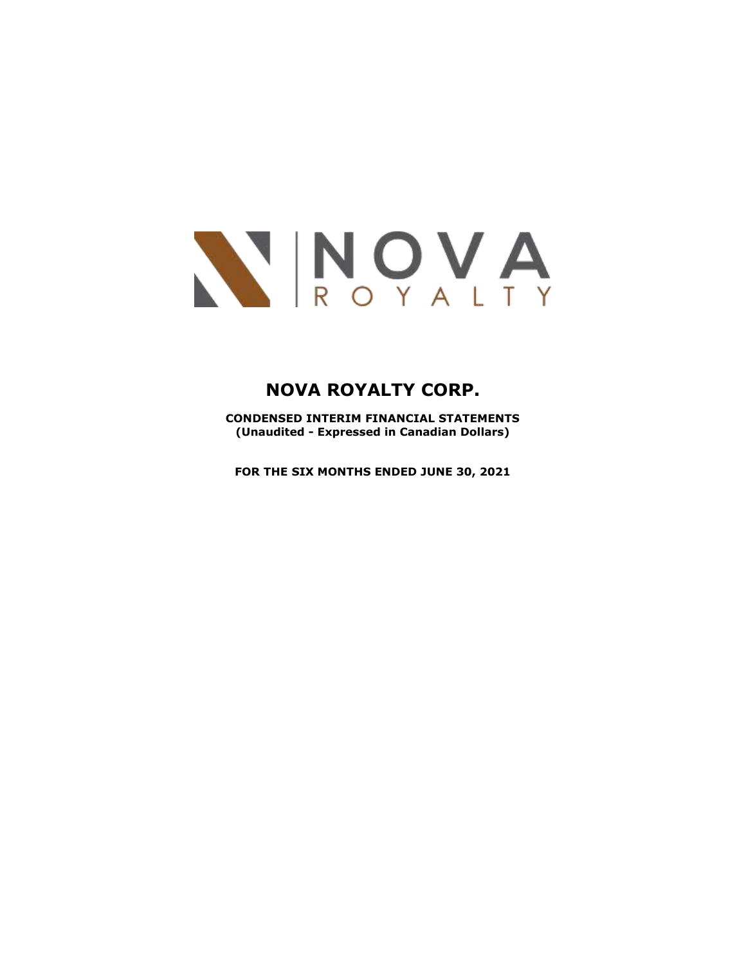

**CONDENSED INTERIM FINANCIAL STATEMENTS (Unaudited - Expressed in Canadian Dollars)**

**FOR THE SIX MONTHS ENDED JUNE 30, 2021**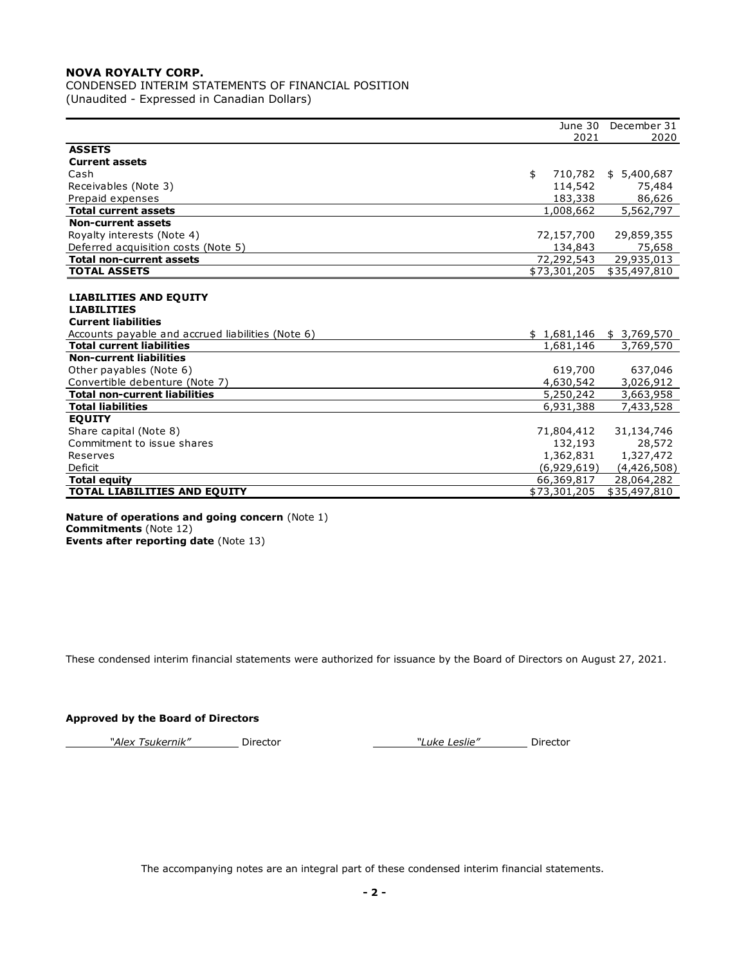CONDENSED INTERIM STATEMENTS OF FINANCIAL POSITION (Unaudited - Expressed in Canadian Dollars)

|                                                   | June 30       | December 31               |
|---------------------------------------------------|---------------|---------------------------|
|                                                   | 2021          | 2020                      |
| <b>ASSETS</b>                                     |               |                           |
| <b>Current assets</b>                             |               |                           |
| Cash                                              | \$<br>710,782 | \$5,400,687               |
| Receivables (Note 3)                              | 114,542       | 75,484                    |
| Prepaid expenses                                  | 183,338       | 86,626                    |
| <b>Total current assets</b>                       | 1,008,662     | $\overline{5,562,797}$    |
| <b>Non-current assets</b>                         |               |                           |
| Royalty interests (Note 4)                        | 72,157,700    | 29,859,355                |
| Deferred acquisition costs (Note 5)               | 134,843       | 75,658                    |
| <b>Total non-current assets</b>                   | 72,292,543    | 29,935,013                |
| <b>TOTAL ASSETS</b>                               | \$73,301,205  | \$35,497,810              |
|                                                   |               |                           |
| <b>LIABILITIES AND EQUITY</b>                     |               |                           |
| <b>LIABILITIES</b>                                |               |                           |
| <b>Current liabilities</b>                        |               |                           |
| Accounts payable and accrued liabilities (Note 6) |               | $$1,681,146$ $$3,769,570$ |
| <b>Total current liabilities</b>                  | 1,681,146     | 3,769,570                 |
| <b>Non-current liabilities</b>                    |               |                           |
| Other payables (Note 6)                           | 619,700       | 637,046                   |
| Convertible debenture (Note 7)                    | 4,630,542     | 3,026,912                 |
| <b>Total non-current liabilities</b>              | 5,250,242     | 3,663,958                 |
| <b>Total liabilities</b>                          | 6,931,388     | 7,433,528                 |
| <b>EQUITY</b>                                     |               |                           |
| Share capital (Note 8)                            | 71,804,412    | 31,134,746                |
| Commitment to issue shares                        | 132,193       | 28,572                    |
| Reserves                                          | 1,362,831     | 1,327,472                 |
| <b>Deficit</b>                                    | (6,929,619)   | (4,426,508)               |
| <b>Total equity</b>                               | 66,369,817    | 28,064,282                |
| TOTAL LIABILITIES AND EQUITY                      | \$73,301,205  | \$35,497,810              |
|                                                   |               |                           |

#### **Nature of operations and going concern** (Note 1) **Commitments** (Note 12) **Events after reporting date** (Note 13)

These condensed interim financial statements were authorized for issuance by the Board of Directors on August 27, 2021.

## **Approved by the Board of Directors**

*"Alex Tsukernik"* Director *"Luke Leslie"* Director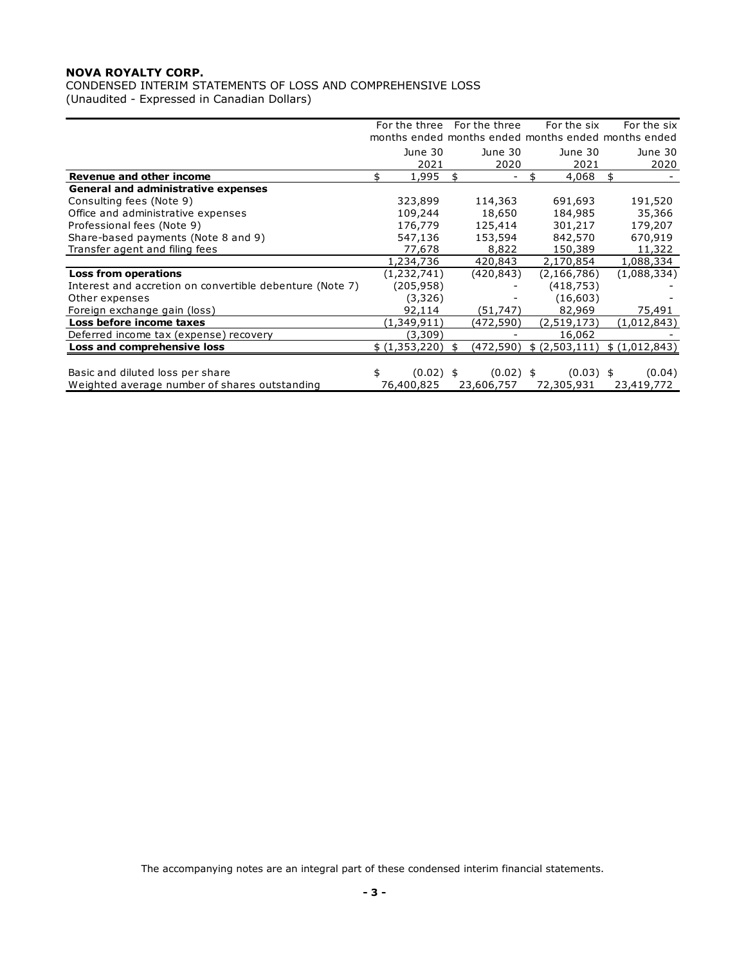CONDENSED INTERIM STATEMENTS OF LOSS AND COMPREHENSIVE LOSS (Unaudited - Expressed in Canadian Dollars)

|                                                          |     |                 | For the three For the three<br>months ended months ended months ended months ended | For the six                   | For the six     |
|----------------------------------------------------------|-----|-----------------|------------------------------------------------------------------------------------|-------------------------------|-----------------|
|                                                          |     | June 30<br>2021 | June 30<br>2020                                                                    | June 30<br>2021               | June 30<br>2020 |
| Revenue and other income                                 | \$. | 1,995           | \$                                                                                 | 4,068                         | \$              |
| <b>General and administrative expenses</b>               |     |                 |                                                                                    |                               |                 |
| Consulting fees (Note 9)                                 |     | 323,899         | 114,363                                                                            | 691,693                       | 191,520         |
| Office and administrative expenses                       |     | 109,244         | 18,650                                                                             | 184,985                       | 35,366          |
| Professional fees (Note 9)                               |     | 176,779         | 125,414                                                                            | 301,217                       | 179,207         |
| Share-based payments (Note 8 and 9)                      |     | 547,136         | 153,594                                                                            | 842,570                       | 670,919         |
| Transfer agent and filing fees                           |     | 77,678          | 8,822                                                                              | 150,389                       | 11,322          |
|                                                          |     | 1,234,736       | 420,843                                                                            | 2,170,854                     | 1,088,334       |
| Loss from operations                                     |     | (1, 232, 741)   | (420, 843)                                                                         | (2, 166, 786)                 | (1,088,334)     |
| Interest and accretion on convertible debenture (Note 7) |     | (205,958)       |                                                                                    | (418, 753)                    |                 |
| Other expenses                                           |     | (3,326)         |                                                                                    | (16, 603)                     |                 |
| Foreign exchange gain (loss)                             |     | 92,114          | (51, 747)                                                                          | 82,969                        | 75,491          |
| Loss before income taxes                                 |     | (1,349,911)     | (472,590)                                                                          | (2,519,173)                   | (1,012,843)     |
| Deferred income tax (expense) recovery                   |     | (3,309)         |                                                                                    | 16,062                        |                 |
| Loss and comprehensive loss                              |     | \$(1,353,220)   | \$<br>(472,590)                                                                    | \$ (2,503,111) \$ (1,012,843) |                 |
|                                                          |     |                 |                                                                                    |                               |                 |
| Basic and diluted loss per share                         | \$  | $(0.02)$ \$     | $(0.02)$ \$                                                                        | $(0.03)$ \$                   | (0.04)          |
| Weighted average number of shares outstanding            |     | 76,400,825      | 23,606,757                                                                         | 72,305,931                    | 23,419,772      |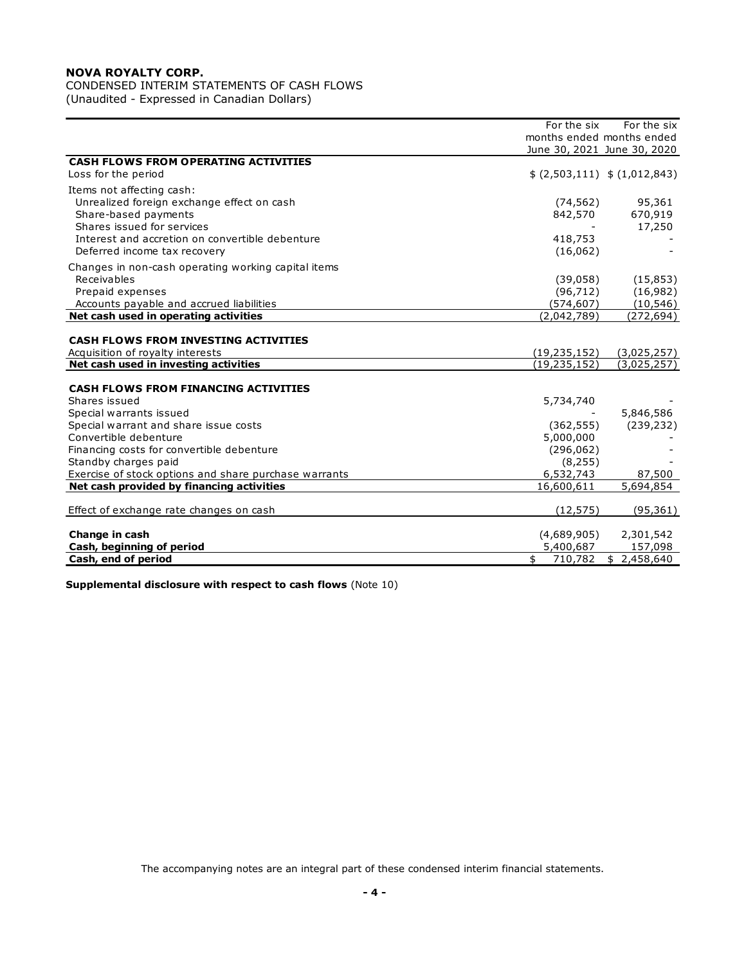# CONDENSED INTERIM STATEMENTS OF CASH FLOWS

(Unaudited - Expressed in Canadian Dollars)

|                                                       | For the six              | For the six                   |
|-------------------------------------------------------|--------------------------|-------------------------------|
|                                                       |                          | months ended months ended     |
|                                                       |                          | June 30, 2021 June 30, 2020   |
| <b>CASH FLOWS FROM OPERATING ACTIVITIES</b>           |                          |                               |
| Loss for the period                                   |                          | \$ (2,503,111) \$ (1,012,843) |
| Items not affecting cash:                             |                          |                               |
| Unrealized foreign exchange effect on cash            | (74, 562)                | 95,361                        |
| Share-based payments                                  | 842,570                  | 670,919                       |
| Shares issued for services                            |                          | 17,250                        |
| Interest and accretion on convertible debenture       | 418,753                  |                               |
| Deferred income tax recovery                          | (16,062)                 |                               |
| Changes in non-cash operating working capital items   |                          |                               |
| Receivables                                           | (39,058)                 | (15, 853)                     |
| Prepaid expenses                                      | (96, 712)                | (16, 982)                     |
| Accounts payable and accrued liabilities              | (574, 607)               | (10, 546)                     |
| Net cash used in operating activities                 | (2,042,789)              | (272, 694)                    |
|                                                       |                          |                               |
| <b>CASH FLOWS FROM INVESTING ACTIVITIES</b>           |                          |                               |
| Acquisition of royalty interests                      | (19, 235, 152)           | (3,025,257)                   |
| Net cash used in investing activities                 | (19, 235, 152)           | (3,025,257)                   |
| <b>CASH FLOWS FROM FINANCING ACTIVITIES</b>           |                          |                               |
| Shares issued                                         | 5,734,740                |                               |
| Special warrants issued                               |                          | 5,846,586                     |
| Special warrant and share issue costs                 | (362, 555)               | (239, 232)                    |
| Convertible debenture                                 | 5,000,000                |                               |
| Financing costs for convertible debenture             | (296, 062)               |                               |
| Standby charges paid                                  | (8, 255)                 |                               |
| Exercise of stock options and share purchase warrants | 6,532,743                | 87,500                        |
| Net cash provided by financing activities             | 16,600,611               | 5,694,854                     |
|                                                       |                          |                               |
| Effect of exchange rate changes on cash               | (12, 575)                | (95, 361)                     |
| Change in cash                                        |                          |                               |
| Cash, beginning of period                             | (4,689,905)<br>5,400,687 | 2,301,542<br>157,098          |
| Cash, end of period                                   | \$<br>710,782            | \$2,458,640                   |
|                                                       |                          |                               |

**Supplemental disclosure with respect to cash flows** (Note 10)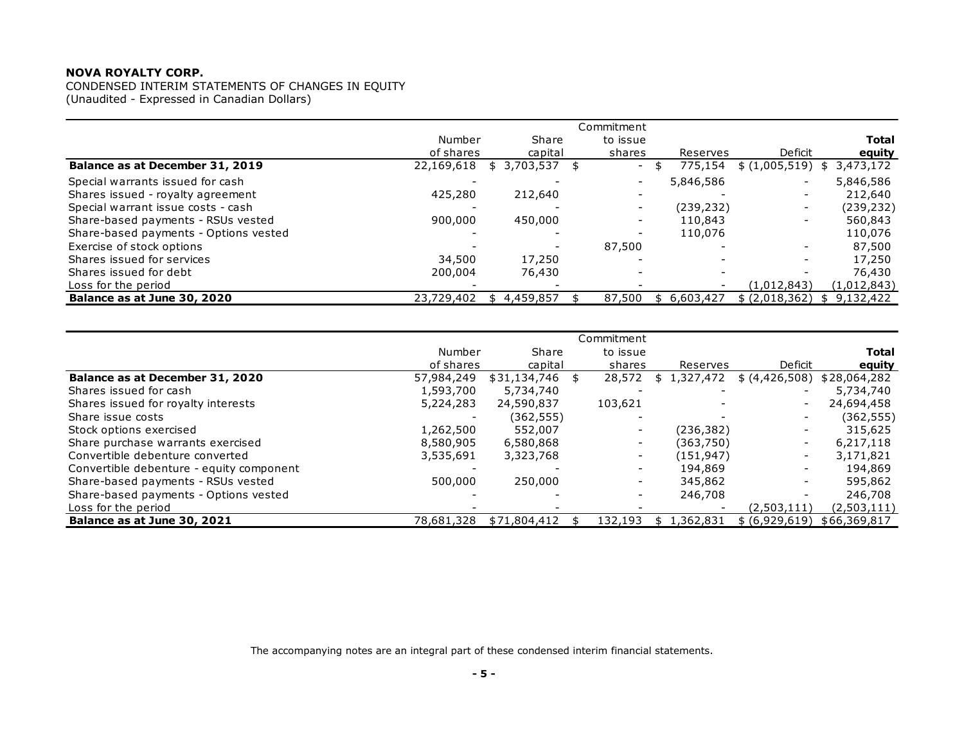CONDENSED INTERIM STATEMENTS OF CHANGES IN EQUITY (Unaudited - Expressed in Canadian Dollars)

|                                       |                     |    |                  |      | Commitment               |              |            |                          |                        |
|---------------------------------------|---------------------|----|------------------|------|--------------------------|--------------|------------|--------------------------|------------------------|
|                                       | Number<br>of shares |    | Share<br>capital |      | to issue<br>shares       |              | Reserves   | Deficit                  | <b>Total</b><br>equity |
| Balance as at December 31, 2019       | 22,169,618          |    | \$ 3,703,537     | - \$ | $\overline{\phantom{a}}$ | $\mathsf{S}$ | 775,154    | \$(1,005,519)            | 3,473,172<br>\$        |
| Special warrants issued for cash      |                     |    |                  |      | -                        |              | 5,846,586  | $\overline{\phantom{a}}$ | 5,846,586              |
| Shares issued - royalty agreement     | 425,280             |    | 212,640          |      |                          |              |            | $\overline{\phantom{a}}$ | 212,640                |
| Special warrant issue costs - cash    |                     |    |                  |      | $\overline{\phantom{a}}$ |              | (239, 232) | $\overline{\phantom{a}}$ | (239, 232)             |
| Share-based payments - RSUs vested    | 900,000             |    | 450,000          |      | $\overline{\phantom{a}}$ |              | 110,843    | -                        | 560,843                |
| Share-based payments - Options vested |                     |    |                  |      |                          |              | 110,076    |                          | 110,076                |
| Exercise of stock options             |                     |    |                  |      | 87,500                   |              |            |                          | 87,500                 |
| Shares issued for services            | 34,500              |    | 17,250           |      |                          |              |            |                          | 17,250                 |
| Shares issued for debt                | 200,004             |    | 76,430           |      |                          |              |            |                          | 76,430                 |
| Loss for the period                   |                     |    |                  |      |                          |              |            | (1,012,843)              | (1,012,843)            |
| Balance as at June 30, 2020           | 23,729,402          | S. | 4,459,857        |      | 87,500                   | \$           | 6,603,427  | \$ (2,018,362)           | \$9,132,422            |

| Balance as at June 30, 2020              | 23,729,402 | \$4,459,857      | 87,500                   | \$ 6,603,427    | $$$ (2,018,362) $$$ 9,132,422 |              |
|------------------------------------------|------------|------------------|--------------------------|-----------------|-------------------------------|--------------|
|                                          |            |                  |                          |                 |                               |              |
|                                          |            |                  | Commitment               |                 |                               |              |
|                                          | Number     | Share            | to issue                 |                 |                               | Total        |
|                                          | of shares  | capital          | shares                   | Reserves        | Deficit                       | equity       |
| Balance as at December 31, 2020          | 57,984,249 | $$31,134,746$ \$ | 28,572                   | \$1,327,472     | \$ (4,426,508)                | \$28,064,282 |
| Shares issued for cash                   | 1,593,700  | 5,734,740        |                          |                 |                               | 5,734,740    |
| Shares issued for royalty interests      | 5,224,283  | 24,590,837       | 103,621                  |                 | $\overline{\phantom{a}}$      | 24,694,458   |
| Share issue costs                        |            | (362, 555)       |                          |                 |                               | (362, 555)   |
| Stock options exercised                  | 1,262,500  | 552,007          |                          | (236, 382)      | $\overline{\phantom{a}}$      | 315,625      |
| Share purchase warrants exercised        | 8,580,905  | 6,580,868        |                          | (363,750)       | $\overline{\phantom{a}}$      | 6,217,118    |
| Convertible debenture converted          | 3,535,691  | 3,323,768        |                          | (151, 947)      | $\overline{\phantom{a}}$      | 3,171,821    |
| Convertible debenture - equity component |            |                  |                          | 194,869         | $\qquad \qquad \blacksquare$  | 194,869      |
| Share-based payments - RSUs vested       | 500,000    | 250,000          | $\overline{\phantom{a}}$ | 345,862         | $\overline{\phantom{a}}$      | 595,862      |
| Share-based payments - Options vested    |            |                  | $\overline{\phantom{a}}$ | 246,708         |                               | 246,708      |
| Loss for the period                      |            |                  |                          |                 | (2,503,111)                   | (2,503,111)  |
| Balance as at June 30, 2021              | 78,681,328 | \$71,804,412     | 132,193                  | 1,362,831<br>\$ | \$ (6,929,619)                | \$66,369,817 |
|                                          |            |                  |                          |                 |                               |              |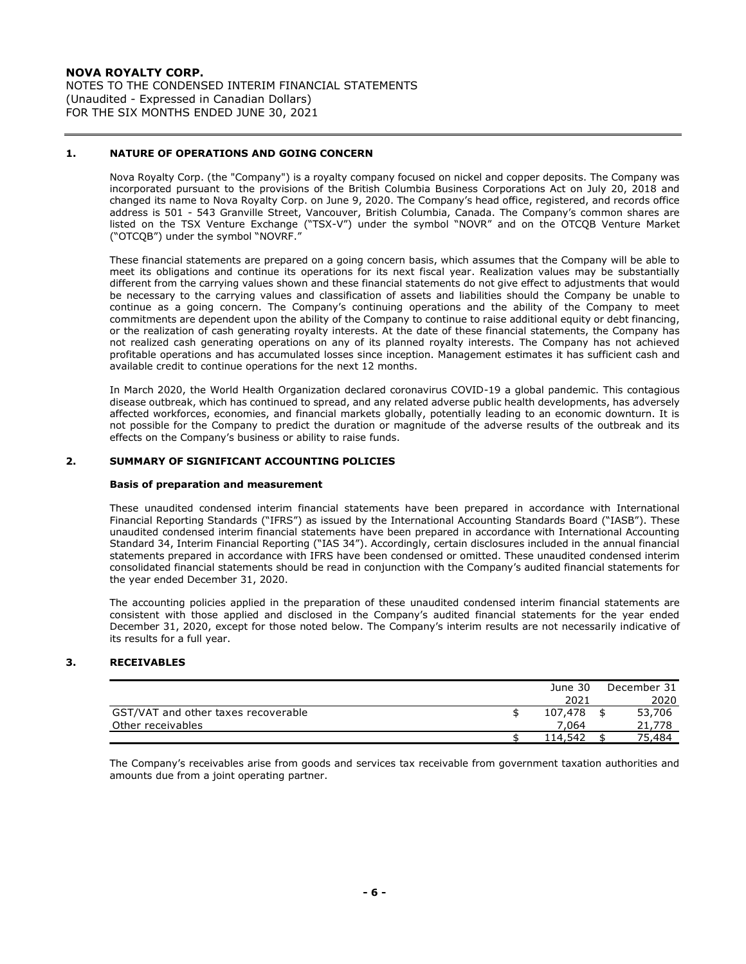NOTES TO THE CONDENSED INTERIM FINANCIAL STATEMENTS (Unaudited - Expressed in Canadian Dollars) FOR THE SIX MONTHS ENDED JUNE 30, 2021

## **1. NATURE OF OPERATIONS AND GOING CONCERN**

Nova Royalty Corp. (the "Company") is a royalty company focused on nickel and copper deposits. The Company was incorporated pursuant to the provisions of the British Columbia Business Corporations Act on July 20, 2018 and changed its name to Nova Royalty Corp. on June 9, 2020. The Company's head office, registered, and records office address is 501 - 543 Granville Street, Vancouver, British Columbia, Canada. The Company's common shares are listed on the TSX Venture Exchange ("TSX-V") under the symbol "NOVR" and on the OTCQB Venture Market ("OTCQB") under the symbol "NOVRF."

These financial statements are prepared on a going concern basis, which assumes that the Company will be able to meet its obligations and continue its operations for its next fiscal year. Realization values may be substantially different from the carrying values shown and these financial statements do not give effect to adjustments that would be necessary to the carrying values and classification of assets and liabilities should the Company be unable to continue as a going concern. The Company's continuing operations and the ability of the Company to meet commitments are dependent upon the ability of the Company to continue to raise additional equity or debt financing, or the realization of cash generating royalty interests. At the date of these financial statements, the Company has not realized cash generating operations on any of its planned royalty interests. The Company has not achieved profitable operations and has accumulated losses since inception. Management estimates it has sufficient cash and available credit to continue operations for the next 12 months.

In March 2020, the World Health Organization declared coronavirus COVID-19 a global pandemic. This contagious disease outbreak, which has continued to spread, and any related adverse public health developments, has adversely affected workforces, economies, and financial markets globally, potentially leading to an economic downturn. It is not possible for the Company to predict the duration or magnitude of the adverse results of the outbreak and its effects on the Company's business or ability to raise funds.

## **2. SUMMARY OF SIGNIFICANT ACCOUNTING POLICIES**

### **Basis of preparation and measurement**

These unaudited condensed interim financial statements have been prepared in accordance with International Financial Reporting Standards ("IFRS") as issued by the International Accounting Standards Board ("IASB"). These unaudited condensed interim financial statements have been prepared in accordance with International Accounting Standard 34, Interim Financial Reporting ("IAS 34"). Accordingly, certain disclosures included in the annual financial statements prepared in accordance with IFRS have been condensed or omitted. These unaudited condensed interim consolidated financial statements should be read in conjunction with the Company's audited financial statements for the year ended December 31, 2020.

The accounting policies applied in the preparation of these unaudited condensed interim financial statements are consistent with those applied and disclosed in the Company's audited financial statements for the year ended December 31, 2020, except for those noted below. The Company's interim results are not necessarily indicative of its results for a full year.

## **3. RECEIVABLES**

|                                     | June 30 | December 31 |
|-------------------------------------|---------|-------------|
|                                     | 2021    | 2020        |
| GST/VAT and other taxes recoverable | 107,478 | 53,706      |
| Other receivables                   | 7.064   | 21,778      |
|                                     | 114.542 | 75.484      |

The Company's receivables arise from goods and services tax receivable from government taxation authorities and amounts due from a joint operating partner.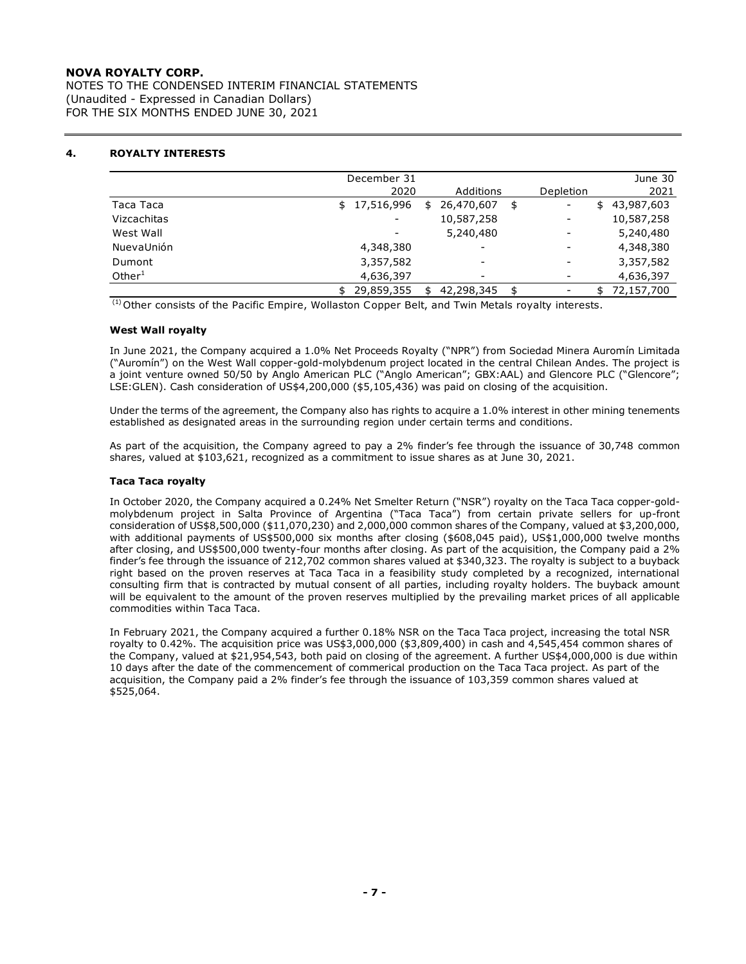NOTES TO THE CONDENSED INTERIM FINANCIAL STATEMENTS (Unaudited - Expressed in Canadian Dollars) FOR THE SIX MONTHS ENDED JUNE 30, 2021

## **4. ROYALTY INTERESTS**

|             | December 31  |                        |                          | June 30    |
|-------------|--------------|------------------------|--------------------------|------------|
|             | 2020         | Additions              | Depletion                | 2021       |
| Taca Taca   | \$17,516,996 | 26,470,607<br>\$<br>\$ | \$<br>-                  | 43,987,603 |
| Vizcachitas |              | 10,587,258             | $\overline{\phantom{a}}$ | 10,587,258 |
| West Wall   |              | 5,240,480              | -                        | 5,240,480  |
| NuevaUnión  | 4,348,380    |                        | -                        | 4,348,380  |
| Dumont      | 3,357,582    | ۰                      | $\overline{\phantom{a}}$ | 3,357,582  |
| Other $1$   | 4,636,397    |                        | -                        | 4,636,397  |
|             | 29,859,355   | 42,298,345<br>\$       | \$<br>-                  | 72,157,700 |

<sup>(1)</sup> Other consists of the Pacific Empire, Wollaston Copper Belt, and Twin Metals royalty interests.

### **West Wall royalty**

In June 2021, the Company acquired a 1.0% Net Proceeds Royalty ("NPR") from Sociedad Minera Auromín Limitada ("Auromín") on the West Wall copper-gold-molybdenum project located in the central Chilean Andes. The project is a joint venture owned 50/50 by Anglo American PLC ("Anglo American"; GBX:AAL) and Glencore PLC ("Glencore"; LSE:GLEN). Cash consideration of US\$4,200,000 (\$5,105,436) was paid on closing of the acquisition.

Under the terms of the agreement, the Company also has rights to acquire a 1.0% interest in other mining tenements established as designated areas in the surrounding region under certain terms and conditions.

As part of the acquisition, the Company agreed to pay a 2% finder's fee through the issuance of 30,748 common shares, valued at \$103,621, recognized as a commitment to issue shares as at June 30, 2021.

### **Taca Taca royalty**

In October 2020, the Company acquired a 0.24% Net Smelter Return ("NSR") royalty on the Taca Taca copper-goldmolybdenum project in Salta Province of Argentina ("Taca Taca") from certain private sellers for up-front consideration of US\$8,500,000 (\$11,070,230) and 2,000,000 common shares of the Company, valued at \$3,200,000, with additional payments of US\$500,000 six months after closing (\$608,045 paid), US\$1,000,000 twelve months after closing, and US\$500,000 twenty-four months after closing. As part of the acquisition, the Company paid a 2% finder's fee through the issuance of 212,702 common shares valued at \$340,323. The royalty is subject to a buyback right based on the proven reserves at Taca Taca in a feasibility study completed by a recognized, international consulting firm that is contracted by mutual consent of all parties, including royalty holders. The buyback amount will be equivalent to the amount of the proven reserves multiplied by the prevailing market prices of all applicable commodities within Taca Taca.

In February 2021, the Company acquired a further 0.18% NSR on the Taca Taca project, increasing the total NSR royalty to 0.42%. The acquisition price was US\$3,000,000 (\$3,809,400) in cash and 4,545,454 common shares of the Company, valued at \$21,954,543, both paid on closing of the agreement. A further US\$4,000,000 is due within 10 days after the date of the commencement of commerical production on the Taca Taca project. As part of the acquisition, the Company paid a 2% finder's fee through the issuance of 103,359 common shares valued at \$525,064.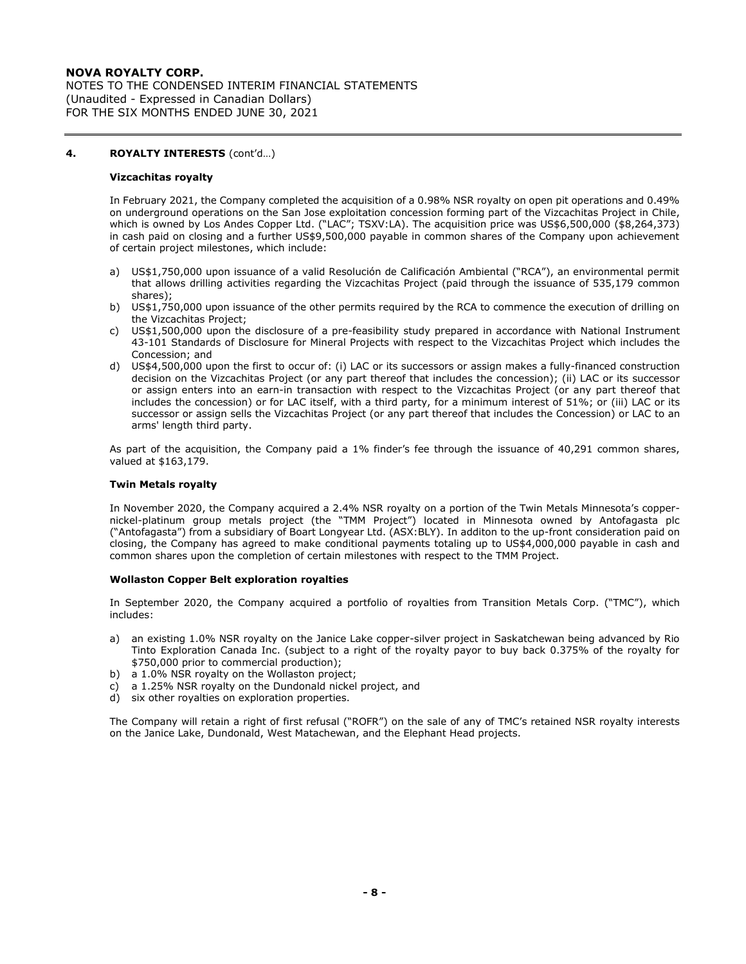NOTES TO THE CONDENSED INTERIM FINANCIAL STATEMENTS (Unaudited - Expressed in Canadian Dollars) FOR THE SIX MONTHS ENDED JUNE 30, 2021

## **4. ROYALTY INTERESTS** (cont'd…)

#### **Vizcachitas royalty**

In February 2021, the Company completed the acquisition of a 0.98% NSR royalty on open pit operations and 0.49% on underground operations on the San Jose exploitation concession forming part of the Vizcachitas Project in Chile, which is owned by Los Andes Copper Ltd. ("LAC"; TSXV:LA). The acquisition price was US\$6,500,000 (\$8,264,373) in cash paid on closing and a further US\$9,500,000 payable in common shares of the Company upon achievement of certain project milestones, which include:

- a) US\$1,750,000 upon issuance of a valid Resolución de Calificación Ambiental ("RCA"), an environmental permit that allows drilling activities regarding the Vizcachitas Project (paid through the issuance of 535,179 common shares);
- b) US\$1,750,000 upon issuance of the other permits required by the RCA to commence the execution of drilling on the Vizcachitas Project;
- c) US\$1,500,000 upon the disclosure of a pre-feasibility study prepared in accordance with National Instrument 43-101 Standards of Disclosure for Mineral Projects with respect to the Vizcachitas Project which includes the Concession; and
- d) US\$4,500,000 upon the first to occur of: (i) LAC or its successors or assign makes a fully-financed construction decision on the Vizcachitas Project (or any part thereof that includes the concession); (ii) LAC or its successor or assign enters into an earn-in transaction with respect to the Vizcachitas Project (or any part thereof that includes the concession) or for LAC itself, with a third party, for a minimum interest of 51%; or (iii) LAC or its successor or assign sells the Vizcachitas Project (or any part thereof that includes the Concession) or LAC to an arms' length third party.

As part of the acquisition, the Company paid a 1% finder's fee through the issuance of 40,291 common shares, valued at \$163,179.

### **Twin Metals royalty**

In November 2020, the Company acquired a 2.4% NSR royalty on a portion of the Twin Metals Minnesota's coppernickel-platinum group metals project (the "TMM Project") located in Minnesota owned by Antofagasta plc ("Antofagasta") from a subsidiary of Boart Longyear Ltd. (ASX:BLY). In additon to the up-front consideration paid on closing, the Company has agreed to make conditional payments totaling up to US\$4,000,000 payable in cash and common shares upon the completion of certain milestones with respect to the TMM Project.

### **Wollaston Copper Belt exploration royalties**

In September 2020, the Company acquired a portfolio of royalties from Transition Metals Corp. ("TMC"), which includes:

- a) an existing 1.0% NSR royalty on the Janice Lake copper-silver project in Saskatchewan being advanced by Rio Tinto Exploration Canada Inc. (subject to a right of the royalty payor to buy back 0.375% of the royalty for \$750,000 prior to commercial production);
- b) a 1.0% NSR royalty on the Wollaston project;
- c) a 1.25% NSR royalty on the Dundonald nickel project, and
- d) six other royalties on exploration properties.

The Company will retain a right of first refusal ("ROFR") on the sale of any of TMC's retained NSR royalty interests on the Janice Lake, Dundonald, West Matachewan, and the Elephant Head projects.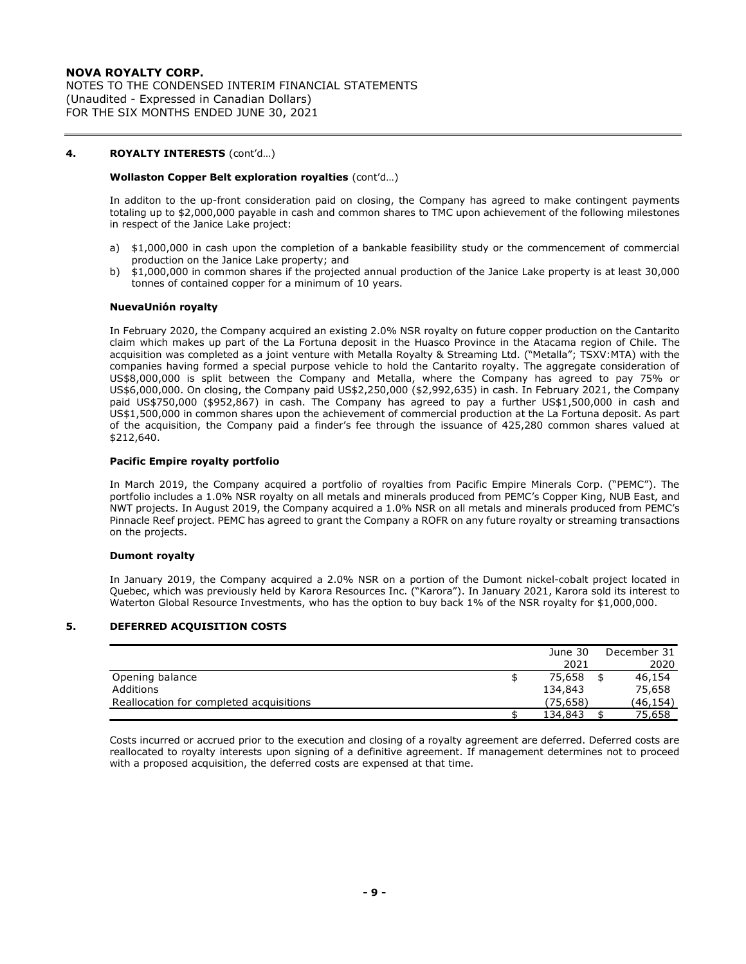NOTES TO THE CONDENSED INTERIM FINANCIAL STATEMENTS (Unaudited - Expressed in Canadian Dollars) FOR THE SIX MONTHS ENDED JUNE 30, 2021

## **4. ROYALTY INTERESTS** (cont'd…)

### **Wollaston Copper Belt exploration royalties** (cont'd…)

In additon to the up-front consideration paid on closing, the Company has agreed to make contingent payments totaling up to \$2,000,000 payable in cash and common shares to TMC upon achievement of the following milestones in respect of the Janice Lake project:

- a) \$1,000,000 in cash upon the completion of a bankable feasibility study or the commencement of commercial production on the Janice Lake property; and
- b) \$1,000,000 in common shares if the projected annual production of the Janice Lake property is at least 30,000 tonnes of contained copper for a minimum of 10 years.

### **NuevaUnión royalty**

In February 2020, the Company acquired an existing 2.0% NSR royalty on future copper production on the Cantarito claim which makes up part of the La Fortuna deposit in the Huasco Province in the Atacama region of Chile. The acquisition was completed as a joint venture with Metalla Royalty & Streaming Ltd. ("Metalla"; TSXV:MTA) with the companies having formed a special purpose vehicle to hold the Cantarito royalty. The aggregate consideration of US\$8,000,000 is split between the Company and Metalla, where the Company has agreed to pay 75% or US\$6,000,000. On closing, the Company paid US\$2,250,000 (\$2,992,635) in cash. In February 2021, the Company paid US\$750,000 (\$952,867) in cash. The Company has agreed to pay a further US\$1,500,000 in cash and US\$1,500,000 in common shares upon the achievement of commercial production at the La Fortuna deposit. As part of the acquisition, the Company paid a finder's fee through the issuance of 425,280 common shares valued at \$212,640.

#### **Pacific Empire royalty portfolio**

In March 2019, the Company acquired a portfolio of royalties from Pacific Empire Minerals Corp. ("PEMC"). The portfolio includes a 1.0% NSR royalty on all metals and minerals produced from PEMC's Copper King, NUB East, and NWT projects. In August 2019, the Company acquired a 1.0% NSR on all metals and minerals produced from PEMC's Pinnacle Reef project. PEMC has agreed to grant the Company a ROFR on any future royalty or streaming transactions on the projects.

#### **Dumont royalty**

In January 2019, the Company acquired a 2.0% NSR on a portion of the Dumont nickel-cobalt project located in Quebec, which was previously held by Karora Resources Inc. ("Karora"). In January 2021, Karora sold its interest to Waterton Global Resource Investments, who has the option to buy back 1% of the NSR royalty for \$1,000,000.

## **5. DEFERRED ACQUISITION COSTS**

|                                         | June 30  | December 31 |
|-----------------------------------------|----------|-------------|
|                                         | 2021     | 2020        |
| Opening balance                         | 75,658   | 46,154      |
| Additions                               | 134,843  | 75,658      |
| Reallocation for completed acquisitions | (75,658) | (46,154)    |
|                                         | 134,843  | 75,658      |

Costs incurred or accrued prior to the execution and closing of a royalty agreement are deferred. Deferred costs are reallocated to royalty interests upon signing of a definitive agreement. If management determines not to proceed with a proposed acquisition, the deferred costs are expensed at that time.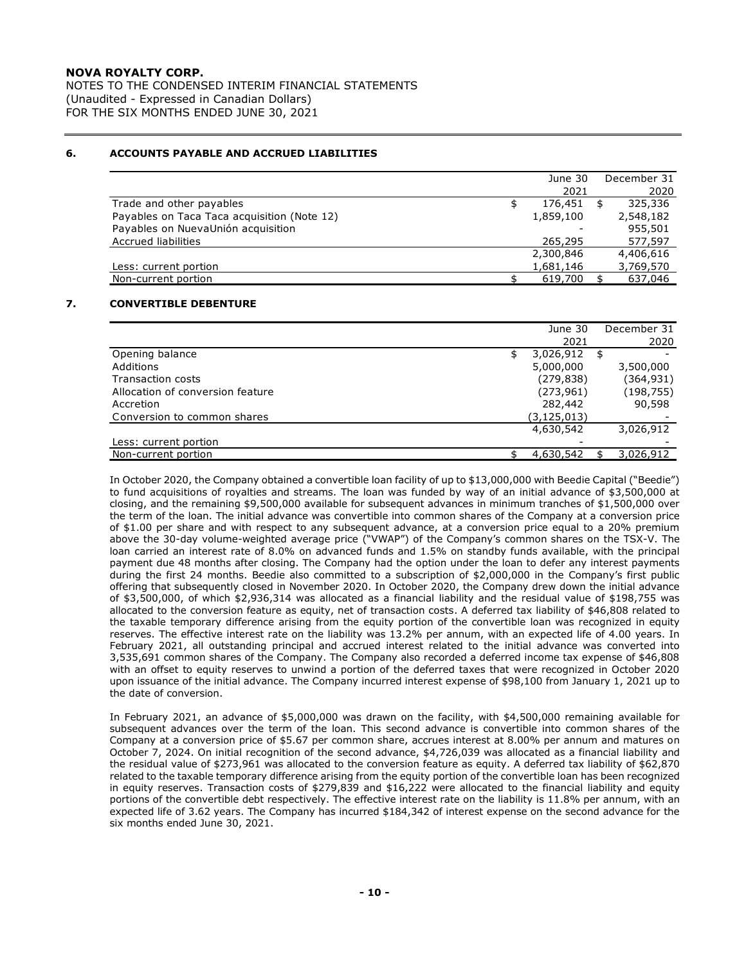NOTES TO THE CONDENSED INTERIM FINANCIAL STATEMENTS (Unaudited - Expressed in Canadian Dollars) FOR THE SIX MONTHS ENDED JUNE 30, 2021

## **6. ACCOUNTS PAYABLE AND ACCRUED LIABILITIES**

|                                             | June 30   | December 31 |
|---------------------------------------------|-----------|-------------|
|                                             | 2021      | 2020        |
| Trade and other payables                    | 176,451   | 325,336     |
| Payables on Taca Taca acquisition (Note 12) | 1,859,100 | 2,548,182   |
| Payables on NuevaUnión acquisition          |           | 955,501     |
| Accrued liabilities                         | 265,295   | 577,597     |
|                                             | 2,300,846 | 4,406,616   |
| Less: current portion                       | 1,681,146 | 3,769,570   |
| Non-current portion                         | 619,700   | 637,046     |

### **7. CONVERTIBLE DEBENTURE**

|                                  |   | June 30       | December 31 |
|----------------------------------|---|---------------|-------------|
|                                  |   | 2021          | 2020        |
| Opening balance                  | S | 3,026,912     | \$          |
| Additions                        |   | 5,000,000     | 3,500,000   |
| Transaction costs                |   | (279, 838)    | (364, 931)  |
| Allocation of conversion feature |   | (273, 961)    | (198, 755)  |
| Accretion                        |   | 282,442       | 90,598      |
| Conversion to common shares      |   | (3, 125, 013) |             |
|                                  |   | 4,630,542     | 3,026,912   |
| Less: current portion            |   |               |             |
| Non-current portion              |   | 4,630,542     | 3,026,912   |

In October 2020, the Company obtained a convertible loan facility of up to \$13,000,000 with Beedie Capital ("Beedie") to fund acquisitions of rovalties and streams. The loan was funded by way of an initial advance of \$3,500,000 at closing, and the remaining \$9,500,000 available for subsequent advances in minimum tranches of \$1,500,000 over the term of the loan. The initial advance was convertible into common shares of the Company at a conversion price of \$1.00 per share and with respect to any subsequent advance, at a conversion price equal to a 20% premium above the 30-day volume-weighted average price ("VWAP") of the Company's common shares on the TSX-V. The loan carried an interest rate of 8.0% on advanced funds and 1.5% on standby funds available, with the principal payment due 48 months after closing. The Company had the option under the loan to defer any interest payments during the first 24 months. Beedie also committed to a subscription of \$2,000,000 in the Company's first public offering that subsequently closed in November 2020. In October 2020, the Company drew down the initial advance of \$3,500,000, of which \$2,936,314 was allocated as a financial liability and the residual value of \$198,755 was allocated to the conversion feature as equity, net of transaction costs. A deferred tax liability of \$46,808 related to the taxable temporary difference arising from the equity portion of the convertible loan was recognized in equity reserves. The effective interest rate on the liability was 13.2% per annum, with an expected life of 4.00 years. In February 2021, all outstanding principal and accrued interest related to the initial advance was converted into 3,535,691 common shares of the Company. The Company also recorded a deferred income tax expense of \$46,808 with an offset to equity reserves to unwind a portion of the deferred taxes that were recognized in October 2020 upon issuance of the initial advance. The Company incurred interest expense of \$98,100 from January 1, 2021 up to the date of conversion.

In February 2021, an advance of \$5,000,000 was drawn on the facility, with \$4,500,000 remaining available for subsequent advances over the term of the loan. This second advance is convertible into common shares of the Company at a conversion price of \$5.67 per common share, accrues interest at 8.00% per annum and matures on October 7, 2024. On initial recognition of the second advance, \$4,726,039 was allocated as a financial liability and the residual value of \$273,961 was allocated to the conversion feature as equity. A deferred tax liability of \$62,870 related to the taxable temporary difference arising from the equity portion of the convertible loan has been recognized in equity reserves. Transaction costs of \$279,839 and \$16,222 were allocated to the financial liability and equity portions of the convertible debt respectively. The effective interest rate on the liability is 11.8% per annum, with an expected life of 3.62 years. The Company has incurred \$184,342 of interest expense on the second advance for the six months ended June 30, 2021.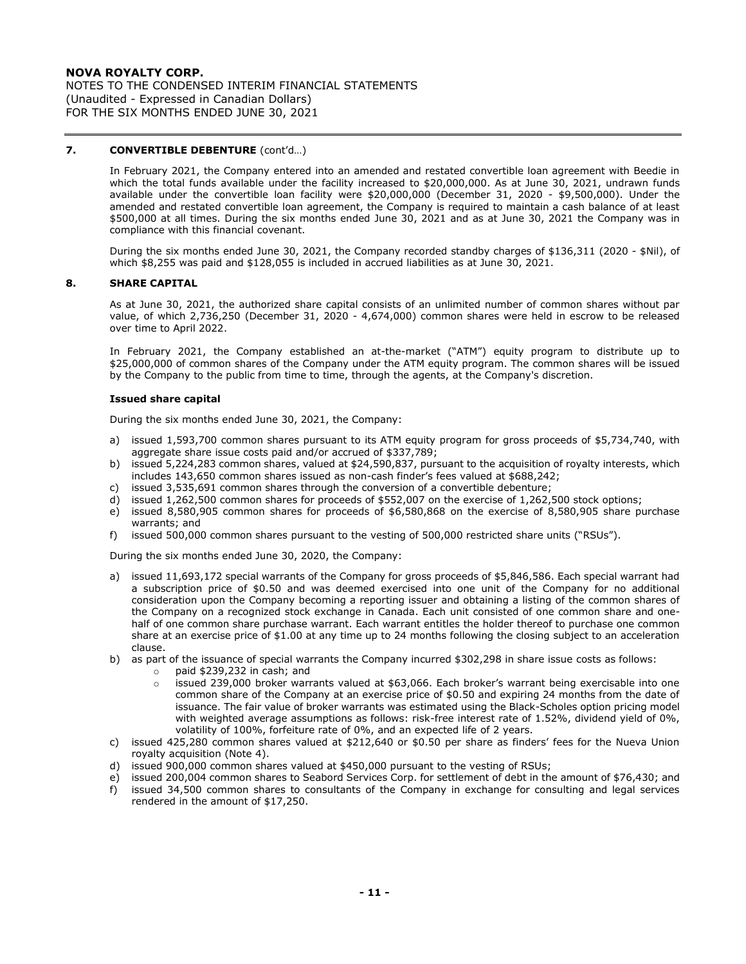NOTES TO THE CONDENSED INTERIM FINANCIAL STATEMENTS (Unaudited - Expressed in Canadian Dollars) FOR THE SIX MONTHS ENDED JUNE 30, 2021

## **7. CONVERTIBLE DEBENTURE** (cont'd…)

In February 2021, the Company entered into an amended and restated convertible loan agreement with Beedie in which the total funds available under the facility increased to \$20,000,000. As at June 30, 2021, undrawn funds available under the convertible loan facility were \$20,000,000 (December 31, 2020 - \$9,500,000). Under the amended and restated convertible loan agreement, the Company is required to maintain a cash balance of at least \$500,000 at all times. During the six months ended June 30, 2021 and as at June 30, 2021 the Company was in compliance with this financial covenant.

During the six months ended June 30, 2021, the Company recorded standby charges of \$136,311 (2020 - \$Nil), of which \$8,255 was paid and \$128,055 is included in accrued liabilities as at June 30, 2021.

#### **8. SHARE CAPITAL**

As at June 30, 2021, the authorized share capital consists of an unlimited number of common shares without par value, of which 2,736,250 (December 31, 2020 - 4,674,000) common shares were held in escrow to be released over time to April 2022.

In February 2021, the Company established an at-the-market ("ATM") equity program to distribute up to \$25,000,000 of common shares of the Company under the ATM equity program. The common shares will be issued by the Company to the public from time to time, through the agents, at the Company's discretion.

#### **Issued share capital**

During the six months ended June 30, 2021, the Company:

- a) issued 1,593,700 common shares pursuant to its ATM equity program for gross proceeds of \$5,734,740, with aggregate share issue costs paid and/or accrued of \$337,789;
- b) issued 5,224,283 common shares, valued at \$24,590,837, pursuant to the acquisition of royalty interests, which includes 143,650 common shares issued as non-cash finder's fees valued at \$688,242;
- c) issued 3,535,691 common shares through the conversion of a convertible debenture;
- d) issued 1,262,500 common shares for proceeds of \$552,007 on the exercise of 1,262,500 stock options;
- e) issued 8,580,905 common shares for proceeds of \$6,580,868 on the exercise of 8,580,905 share purchase warrants; and
- f) issued 500,000 common shares pursuant to the vesting of 500,000 restricted share units ("RSUs").

During the six months ended June 30, 2020, the Company:

- a) issued 11,693,172 special warrants of the Company for gross proceeds of \$5,846,586. Each special warrant had a subscription price of \$0.50 and was deemed exercised into one unit of the Company for no additional consideration upon the Company becoming a reporting issuer and obtaining a listing of the common shares of the Company on a recognized stock exchange in Canada. Each unit consisted of one common share and onehalf of one common share purchase warrant. Each warrant entitles the holder thereof to purchase one common share at an exercise price of \$1.00 at any time up to 24 months following the closing subject to an acceleration clause.
- b) as part of the issuance of special warrants the Company incurred \$302,298 in share issue costs as follows:
	- o paid \$239,232 in cash; and
		- $\circ$  issued 239,000 broker warrants valued at \$63,066. Each broker's warrant being exercisable into one common share of the Company at an exercise price of \$0.50 and expiring 24 months from the date of issuance. The fair value of broker warrants was estimated using the Black-Scholes option pricing model with weighted average assumptions as follows: risk-free interest rate of 1.52%, dividend yield of 0%, volatility of 100%, forfeiture rate of 0%, and an expected life of 2 years.
- c) issued 425,280 common shares valued at \$212,640 or \$0.50 per share as finders' fees for the Nueva Union royalty acquisition (Note 4).
- d) issued 900,000 common shares valued at \$450,000 pursuant to the vesting of RSUs;
- e) issued 200,004 common shares to Seabord Services Corp. for settlement of debt in the amount of \$76,430; and f) issued 34,500 common shares to consultants of the Company in exchange for consulting and legal services
- rendered in the amount of \$17,250.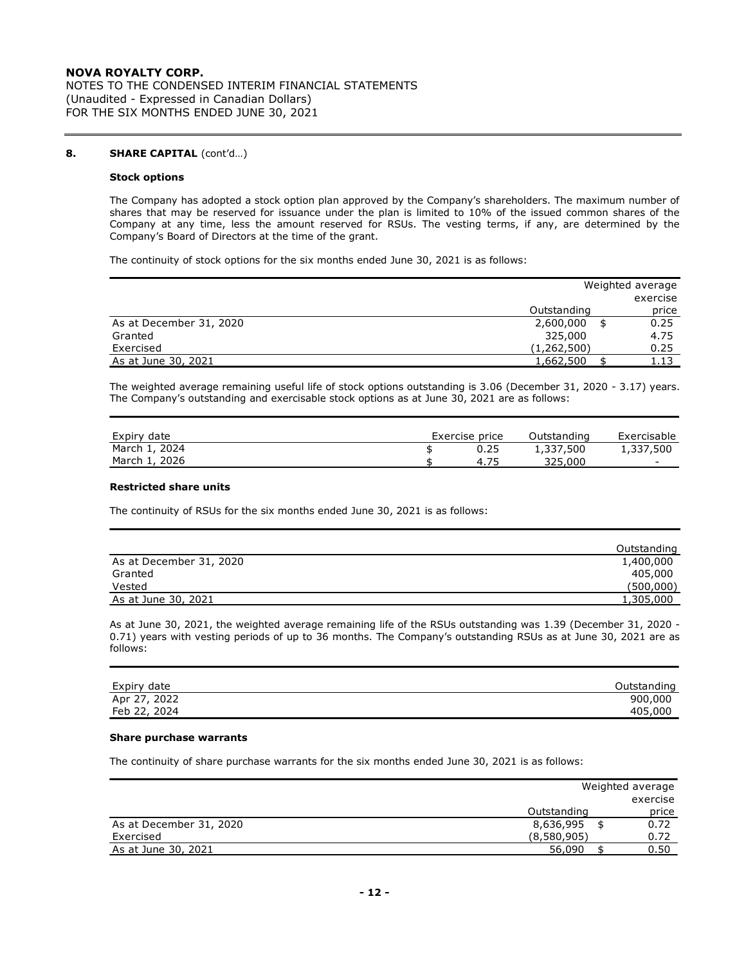NOTES TO THE CONDENSED INTERIM FINANCIAL STATEMENTS (Unaudited - Expressed in Canadian Dollars) FOR THE SIX MONTHS ENDED JUNE 30, 2021

## **8. SHARE CAPITAL** (cont'd…)

### **Stock options**

The Company has adopted a stock option plan approved by the Company's shareholders. The maximum number of shares that may be reserved for issuance under the plan is limited to 10% of the issued common shares of the Company at any time, less the amount reserved for RSUs. The vesting terms, if any, are determined by the Company's Board of Directors at the time of the grant.

The continuity of stock options for the six months ended June 30, 2021 is as follows:

|                         |             | Weighted average |
|-------------------------|-------------|------------------|
|                         |             | exercise         |
|                         | Outstanding | price            |
| As at December 31, 2020 | 2,600,000   | 0.25             |
| Granted                 | 325,000     | 4.75             |
| Exercised               | (1,262,500) | 0.25             |
| As at June 30, 2021     | 1,662,500   | 1.13             |

The weighted average remaining useful life of stock options outstanding is 3.06 (December 31, 2020 - 3.17) years. The Company's outstanding and exercisable stock options as at June 30, 2021 are as follows:

| Expiry date   | Exercise price | Outstanding | Exercisable |
|---------------|----------------|-------------|-------------|
| March 1, 2024 |                | 1,337,500   | 1,337,500   |
| March 1, 2026 | 4.75           | 325.000     |             |

#### **Restricted share units**

The continuity of RSUs for the six months ended June 30, 2021 is as follows:

|                         | Outstanding |
|-------------------------|-------------|
| As at December 31, 2020 | 1,400,000   |
| Granted                 | 405,000     |
| Vested                  | (500,000)   |
| As at June 30, 2021     | 1,305,000   |

As at June 30, 2021, the weighted average remaining life of the RSUs outstanding was 1.39 (December 31, 2020 - 0.71) years with vesting periods of up to 36 months. The Company's outstanding RSUs as at June 30, 2021 are as follows:

| Expiry date  | Outstanding |
|--------------|-------------|
| Apr 27, 2022 | 900,000     |
| Feb 22, 2024 | 405,000     |

#### **Share purchase warrants**

The continuity of share purchase warrants for the six months ended June 30, 2021 is as follows:

|                         |             | Weighted average |  |  |  |
|-------------------------|-------------|------------------|--|--|--|
|                         |             | exercise         |  |  |  |
|                         | Outstanding | price            |  |  |  |
| As at December 31, 2020 | 8,636,995   | 0.72             |  |  |  |
| Exercised               | (8,580,905) | 0.72             |  |  |  |
| As at June 30, 2021     | 56,090      | 0.50             |  |  |  |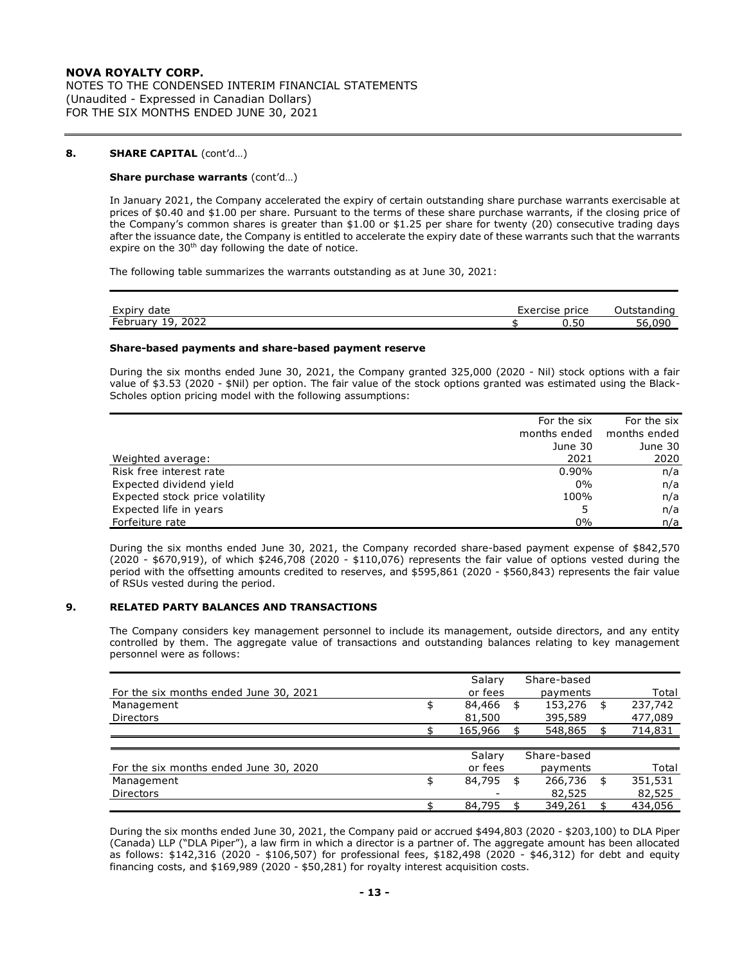NOTES TO THE CONDENSED INTERIM FINANCIAL STATEMENTS (Unaudited - Expressed in Canadian Dollars) FOR THE SIX MONTHS ENDED JUNE 30, 2021

## **8. SHARE CAPITAL** (cont'd…)

### **Share purchase warrants** (cont'd…)

In January 2021, the Company accelerated the expiry of certain outstanding share purchase warrants exercisable at prices of \$0.40 and \$1.00 per share. Pursuant to the terms of these share purchase warrants, if the closing price of the Company's common shares is greater than \$1.00 or \$1.25 per share for twenty (20) consecutive trading days after the issuance date, the Company is entitled to accelerate the expiry date of these warrants such that the warrants expire on the  $30<sup>th</sup>$  day following the date of notice.

The following table summarizes the warrants outstanding as at June 30, 2021:

| <b>Evnin</b><br>1 sto<br>uate<br>ᄂᄉᄂ                                                        | price<br>cise | .         |
|---------------------------------------------------------------------------------------------|---------------|-----------|
| $\overline{\phantom{0}}$<br>$\cdots$<br>∽<br>Februa.<br>$\sim$ 1.00 km $\sim$<br>2022<br>-- | ◡.◡           | וטו<br>`n |

#### **Share-based payments and share-based payment reserve**

During the six months ended June 30, 2021, the Company granted 325,000 (2020 - Nil) stock options with a fair value of \$3.53 (2020 - \$Nil) per option. The fair value of the stock options granted was estimated using the Black-Scholes option pricing model with the following assumptions:

|                                 | For the six  | For the six  |
|---------------------------------|--------------|--------------|
|                                 | months ended | months ended |
|                                 | June 30      | June 30      |
| Weighted average:               | 2021         | 2020         |
| Risk free interest rate         | 0.90%        | n/a          |
| Expected dividend yield         | $0\%$        | n/a          |
| Expected stock price volatility | 100%         | n/a          |
| Expected life in years          |              | n/a          |
| Forfeiture rate                 | $0\%$        | n/a          |

During the six months ended June 30, 2021, the Company recorded share-based payment expense of \$842,570 (2020 - \$670,919), of which \$246,708 (2020 - \$110,076) represents the fair value of options vested during the period with the offsetting amounts credited to reserves, and \$595,861 (2020 - \$560,843) represents the fair value of RSUs vested during the period.

## **9. RELATED PARTY BALANCES AND TRANSACTIONS**

The Company considers key management personnel to include its management, outside directors, and any entity controlled by them. The aggregate value of transactions and outstanding balances relating to key management personnel were as follows:

|                                        | Salary       | Share-based   |               |
|----------------------------------------|--------------|---------------|---------------|
| For the six months ended June 30, 2021 | or fees      | payments      | Total         |
| Management                             | \$<br>84,466 | \$<br>153,276 | \$<br>237,742 |
| <b>Directors</b>                       | 81,500       | 395,589       | 477,089       |
|                                        | 165,966      | 548,865       | 714,831       |
|                                        |              |               |               |
|                                        | Salary       | Share-based   |               |
| For the six months ended June 30, 2020 | or fees      | payments      | Total         |
| Management                             | \$<br>84,795 | 266,736       | \$<br>351,531 |
| <b>Directors</b>                       |              | 82,525        | 82,525        |
|                                        | 84,795       | 349,261       | 434,056       |

During the six months ended June 30, 2021, the Company paid or accrued \$494,803 (2020 - \$203,100) to DLA Piper (Canada) LLP ("DLA Piper"), a law firm in which a director is a partner of. The aggregate amount has been allocated as follows: \$142,316 (2020 - \$106,507) for professional fees, \$182,498 (2020 - \$46,312) for debt and equity financing costs, and \$169,989 (2020 - \$50,281) for royalty interest acquisition costs.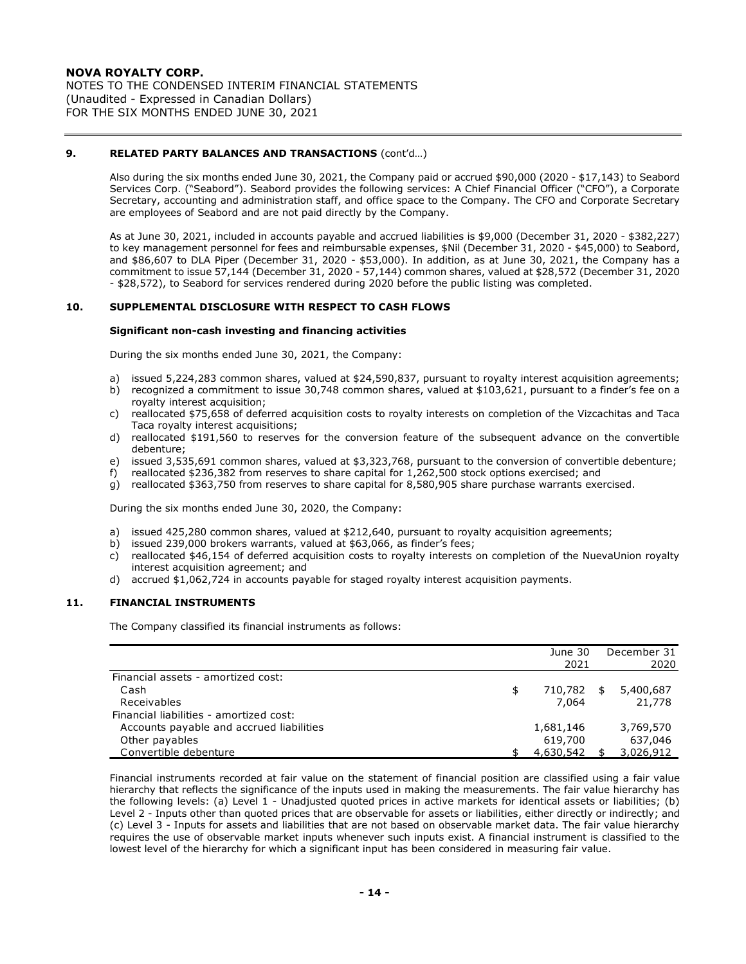NOTES TO THE CONDENSED INTERIM FINANCIAL STATEMENTS (Unaudited - Expressed in Canadian Dollars) FOR THE SIX MONTHS ENDED JUNE 30, 2021

## **9. RELATED PARTY BALANCES AND TRANSACTIONS** (cont'd…)

Also during the six months ended June 30, 2021, the Company paid or accrued \$90,000 (2020 - \$17,143) to Seabord Services Corp. ("Seabord"). Seabord provides the following services: A Chief Financial Officer ("CFO"), a Corporate Secretary, accounting and administration staff, and office space to the Company. The CFO and Corporate Secretary are employees of Seabord and are not paid directly by the Company.

As at June 30, 2021, included in accounts payable and accrued liabilities is \$9,000 (December 31, 2020 - \$382,227) to key management personnel for fees and reimbursable expenses, \$Nil (December 31, 2020 - \$45,000) to Seabord, and \$86,607 to DLA Piper (December 31, 2020 - \$53,000). In addition, as at June 30, 2021, the Company has a commitment to issue 57,144 (December 31, 2020 - 57,144) common shares, valued at \$28,572 (December 31, 2020 - \$28,572), to Seabord for services rendered during 2020 before the public listing was completed.

## **10. SUPPLEMENTAL DISCLOSURE WITH RESPECT TO CASH FLOWS**

#### **Significant non-cash investing and financing activities**

During the six months ended June 30, 2021, the Company:

- a) issued 5,224,283 common shares, valued at \$24,590,837, pursuant to royalty interest acquisition agreements;
- b) recognized a commitment to issue 30,748 common shares, valued at \$103,621, pursuant to a finder's fee on a royalty interest acquisition;
- c) reallocated \$75,658 of deferred acquisition costs to royalty interests on completion of the Vizcachitas and Taca Taca royalty interest acquisitions;
- d) reallocated \$191,560 to reserves for the conversion feature of the subsequent advance on the convertible debenture;
- e) issued 3,535,691 common shares, valued at \$3,323,768, pursuant to the conversion of convertible debenture;
- f) reallocated \$236,382 from reserves to share capital for 1,262,500 stock options exercised; and
- g) reallocated \$363,750 from reserves to share capital for 8,580,905 share purchase warrants exercised.

During the six months ended June 30, 2020, the Company:

- a) issued 425,280 common shares, valued at \$212,640, pursuant to royalty acquisition agreements;
- b) issued 239,000 brokers warrants, valued at \$63,066, as finder's fees;
- c) reallocated \$46,154 of deferred acquisition costs to royalty interests on completion of the NuevaUnion royalty interest acquisition agreement; and
- d) accrued \$1,062,724 in accounts payable for staged royalty interest acquisition payments.

## **11. FINANCIAL INSTRUMENTS**

The Company classified its financial instruments as follows:

|                                          | June 30   |    | December 31 |
|------------------------------------------|-----------|----|-------------|
|                                          | 2021      |    | 2020        |
| Financial assets - amortized cost:       |           |    |             |
| Cash                                     | 710,782   | S. | 5,400,687   |
| Receivables                              | 7.064     |    | 21,778      |
| Financial liabilities - amortized cost:  |           |    |             |
| Accounts payable and accrued liabilities | 1,681,146 |    | 3,769,570   |
| Other payables                           | 619,700   |    | 637,046     |
| Convertible debenture                    | 4,630,542 |    | 3,026,912   |

Financial instruments recorded at fair value on the statement of financial position are classified using a fair value hierarchy that reflects the significance of the inputs used in making the measurements. The fair value hierarchy has the following levels: (a) Level 1 - Unadjusted quoted prices in active markets for identical assets or liabilities; (b) Level 2 - Inputs other than quoted prices that are observable for assets or liabilities, either directly or indirectly; and (c) Level 3 - Inputs for assets and liabilities that are not based on observable market data. The fair value hierarchy requires the use of observable market inputs whenever such inputs exist. A financial instrument is classified to the lowest level of the hierarchy for which a significant input has been considered in measuring fair value.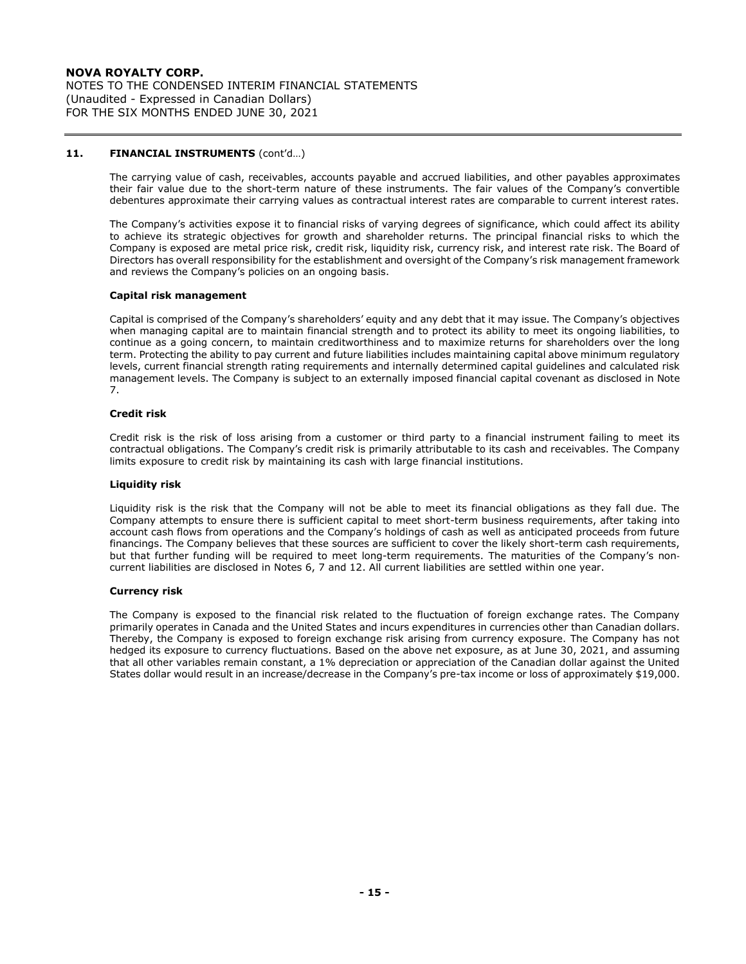NOTES TO THE CONDENSED INTERIM FINANCIAL STATEMENTS (Unaudited - Expressed in Canadian Dollars) FOR THE SIX MONTHS ENDED JUNE 30, 2021

## **11. FINANCIAL INSTRUMENTS** (cont'd…)

The carrying value of cash, receivables, accounts payable and accrued liabilities, and other payables approximates their fair value due to the short-term nature of these instruments. The fair values of the Company's convertible debentures approximate their carrying values as contractual interest rates are comparable to current interest rates.

The Company's activities expose it to financial risks of varying degrees of significance, which could affect its ability to achieve its strategic objectives for growth and shareholder returns. The principal financial risks to which the Company is exposed are metal price risk, credit risk, liquidity risk, currency risk, and interest rate risk. The Board of Directors has overall responsibility for the establishment and oversight of the Company's risk management framework and reviews the Company's policies on an ongoing basis.

### **Capital risk management**

Capital is comprised of the Company's shareholders' equity and any debt that it may issue. The Company's objectives when managing capital are to maintain financial strength and to protect its ability to meet its ongoing liabilities, to continue as a going concern, to maintain creditworthiness and to maximize returns for shareholders over the long term. Protecting the ability to pay current and future liabilities includes maintaining capital above minimum regulatory levels, current financial strength rating requirements and internally determined capital guidelines and calculated risk management levels. The Company is subject to an externally imposed financial capital covenant as disclosed in Note 7.

### **Credit risk**

Credit risk is the risk of loss arising from a customer or third party to a financial instrument failing to meet its contractual obligations. The Company's credit risk is primarily attributable to its cash and receivables. The Company limits exposure to credit risk by maintaining its cash with large financial institutions.

#### **Liquidity risk**

Liquidity risk is the risk that the Company will not be able to meet its financial obligations as they fall due. The Company attempts to ensure there is sufficient capital to meet short-term business requirements, after taking into account cash flows from operations and the Company's holdings of cash as well as anticipated proceeds from future financings. The Company believes that these sources are sufficient to cover the likely short-term cash requirements, but that further funding will be required to meet long-term requirements. The maturities of the Company's noncurrent liabilities are disclosed in Notes 6, 7 and 12. All current liabilities are settled within one year.

### **Currency risk**

The Company is exposed to the financial risk related to the fluctuation of foreign exchange rates. The Company primarily operates in Canada and the United States and incurs expenditures in currencies other than Canadian dollars. Thereby, the Company is exposed to foreign exchange risk arising from currency exposure. The Company has not hedged its exposure to currency fluctuations. Based on the above net exposure, as at June 30, 2021, and assuming that all other variables remain constant, a 1% depreciation or appreciation of the Canadian dollar against the United States dollar would result in an increase/decrease in the Company's pre-tax income or loss of approximately \$19,000.